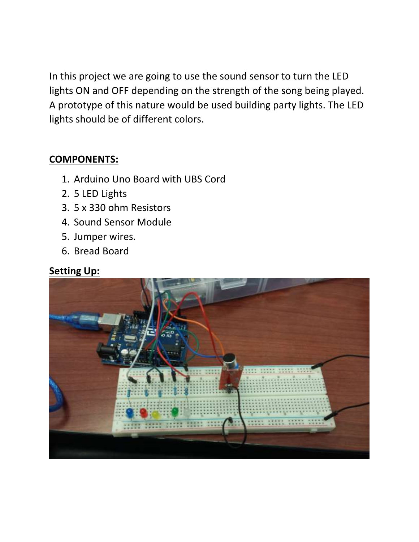In this project we are going to use the sound sensor to turn the LED lights ON and OFF depending on the strength of the song being played. A prototype of this nature would be used building party lights. The LED lights should be of different colors.

## **COMPONENTS:**

- 1. Arduino Uno Board with UBS Cord
- 2. 5 LED Lights
- 3. 5 x 330 ohm Resistors
- 4. Sound Sensor Module
- 5. Jumper wires.
- 6. Bread Board

## **Setting Up:**

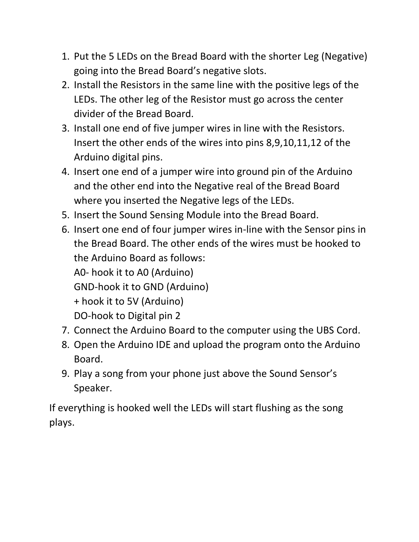- 1. Put the 5 LEDs on the Bread Board with the shorter Leg (Negative) going into the Bread Board's negative slots.
- 2. Install the Resistors in the same line with the positive legs of the LEDs. The other leg of the Resistor must go across the center divider of the Bread Board.
- 3. Install one end of five jumper wires in line with the Resistors. Insert the other ends of the wires into pins 8,9,10,11,12 of the Arduino digital pins.
- 4. Insert one end of a jumper wire into ground pin of the Arduino and the other end into the Negative real of the Bread Board where you inserted the Negative legs of the LEDs.
- 5. Insert the Sound Sensing Module into the Bread Board.
- 6. Insert one end of four jumper wires in-line with the Sensor pins in the Bread Board. The other ends of the wires must be hooked to the Arduino Board as follows: A0- hook it to A0 (Arduino) GND-hook it to GND (Arduino) + hook it to 5V (Arduino) DO-hook to Digital pin 2
- 7. Connect the Arduino Board to the computer using the UBS Cord.
- 8. Open the Arduino IDE and upload the program onto the Arduino Board.
- 9. Play a song from your phone just above the Sound Sensor's Speaker.

If everything is hooked well the LEDs will start flushing as the song plays.